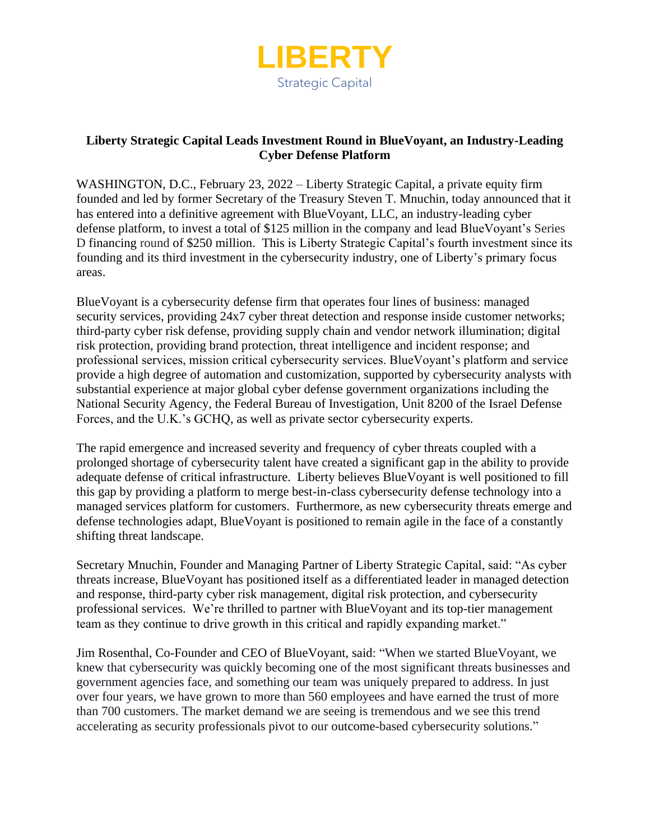

## **Liberty Strategic Capital Leads Investment Round in BlueVoyant, an Industry-Leading Cyber Defense Platform**

WASHINGTON, D.C., February 23, 2022 – Liberty Strategic Capital, a private equity firm founded and led by former Secretary of the Treasury Steven T. Mnuchin, today announced that it has entered into a definitive agreement with BlueVoyant, LLC, an industry-leading cyber defense platform, to invest a total of \$125 million in the company and lead BlueVoyant's Series D financing round of \$250 million. This is Liberty Strategic Capital's fourth investment since its founding and its third investment in the cybersecurity industry, one of Liberty's primary focus areas.

BlueVoyant is a cybersecurity defense firm that operates four lines of business: managed security services, providing 24x7 cyber threat detection and response inside customer networks; third-party cyber risk defense, providing supply chain and vendor network illumination; digital risk protection, providing brand protection, threat intelligence and incident response; and professional services, mission critical cybersecurity services. BlueVoyant's platform and service provide a high degree of automation and customization, supported by cybersecurity analysts with substantial experience at major global cyber defense government organizations including the National Security Agency, the Federal Bureau of Investigation, Unit 8200 of the Israel Defense Forces, and the U.K.'s GCHQ, as well as private sector cybersecurity experts.

The rapid emergence and increased severity and frequency of cyber threats coupled with a prolonged shortage of cybersecurity talent have created a significant gap in the ability to provide adequate defense of critical infrastructure. Liberty believes BlueVoyant is well positioned to fill this gap by providing a platform to merge best-in-class cybersecurity defense technology into a managed services platform for customers. Furthermore, as new cybersecurity threats emerge and defense technologies adapt, BlueVoyant is positioned to remain agile in the face of a constantly shifting threat landscape.

Secretary Mnuchin, Founder and Managing Partner of Liberty Strategic Capital, said: "As cyber threats increase, BlueVoyant has positioned itself as a differentiated leader in managed detection and response, third-party cyber risk management, digital risk protection, and cybersecurity professional services. We're thrilled to partner with BlueVoyant and its top-tier management team as they continue to drive growth in this critical and rapidly expanding market."

Jim Rosenthal, Co-Founder and CEO of BlueVoyant, said: "When we started BlueVoyant, we knew that cybersecurity was quickly becoming one of the most significant threats businesses and government agencies face, and something our team was uniquely prepared to address. In just over four years, we have grown to more than 560 employees and have earned the trust of more than 700 customers. The market demand we are seeing is tremendous and we see this trend accelerating as security professionals pivot to our outcome-based cybersecurity solutions."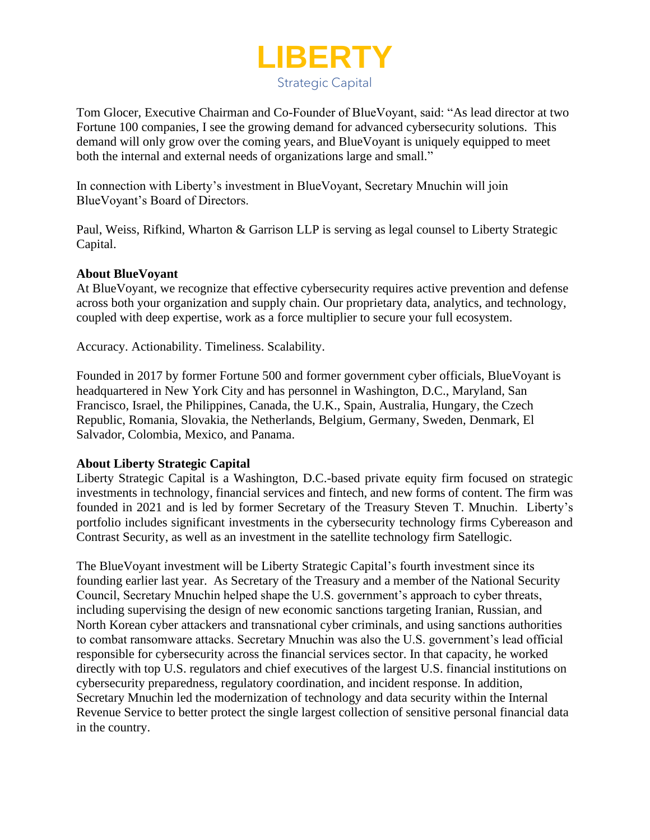

Tom Glocer, Executive Chairman and Co-Founder of BlueVoyant, said: "As lead director at two Fortune 100 companies, I see the growing demand for advanced cybersecurity solutions. This demand will only grow over the coming years, and BlueVoyant is uniquely equipped to meet both the internal and external needs of organizations large and small."

In connection with Liberty's investment in BlueVoyant, Secretary Mnuchin will join BlueVoyant's Board of Directors.

Paul, Weiss, Rifkind, Wharton & Garrison LLP is serving as legal counsel to Liberty Strategic Capital.

## **About BlueVoyant**

At BlueVoyant, we recognize that effective cybersecurity requires active prevention and defense across both your organization and supply chain. Our proprietary data, analytics, and technology, coupled with deep expertise, work as a force multiplier to secure your full ecosystem.

Accuracy. Actionability. Timeliness. Scalability.

Founded in 2017 by former Fortune 500 and former government cyber officials, BlueVoyant is headquartered in New York City and has personnel in Washington, D.C., Maryland, San Francisco, Israel, the Philippines, Canada, the U.K., Spain, Australia, Hungary, the Czech Republic, Romania, Slovakia, the Netherlands, Belgium, Germany, Sweden, Denmark, El Salvador, Colombia, Mexico, and Panama.

## **About Liberty Strategic Capital**

Liberty Strategic Capital is a Washington, D.C.-based private equity firm focused on strategic investments in technology, financial services and fintech, and new forms of content. The firm was founded in 2021 and is led by former Secretary of the Treasury Steven T. Mnuchin. Liberty's portfolio includes significant investments in the cybersecurity technology firms Cybereason and Contrast Security, as well as an investment in the satellite technology firm Satellogic.

The BlueVoyant investment will be Liberty Strategic Capital's fourth investment since its founding earlier last year. As Secretary of the Treasury and a member of the National Security Council, Secretary Mnuchin helped shape the U.S. government's approach to cyber threats, including supervising the design of new economic sanctions targeting Iranian, Russian, and North Korean cyber attackers and transnational cyber criminals, and using sanctions authorities to combat ransomware attacks. Secretary Mnuchin was also the U.S. government's lead official responsible for cybersecurity across the financial services sector. In that capacity, he worked directly with top U.S. regulators and chief executives of the largest U.S. financial institutions on cybersecurity preparedness, regulatory coordination, and incident response. In addition, Secretary Mnuchin led the modernization of technology and data security within the Internal Revenue Service to better protect the single largest collection of sensitive personal financial data in the country.